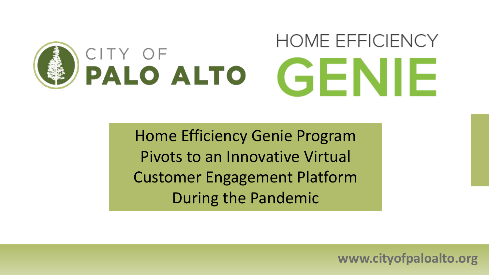# **HOME EFFICIENCY** CITY OF<br>PALO ALTO GENIE

**Drogram** Subtitle 32 font Home Efficiency Genie Program Pivots to an Innovative Virtual Customer Engagement Platform During the Pandemic

**www.cityofpaloalto.org**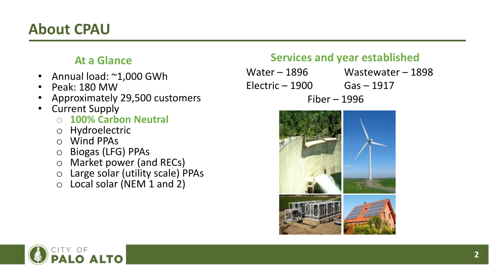#### **About CPAU**

#### **At a Glance**

- Annual load: ~1,000 GWh
- Peak: 180 MW
- Approximately 29,500 customers
- Current Supply
	- o **100% Carbon Neutral**
	- o Hydroelectric
	- o Wind PPAs
	- o Biogas (LFG) PPAs
	- o Market power (and RECs)
	- o Large solar (utility scale) PPAs
	- o Local solar (NEM 1 and 2)

#### **Services and year established**

Water – 1896 Wastewater – 1898  $Electric - 1900$  Gas  $-1917$ Fiber – 1996



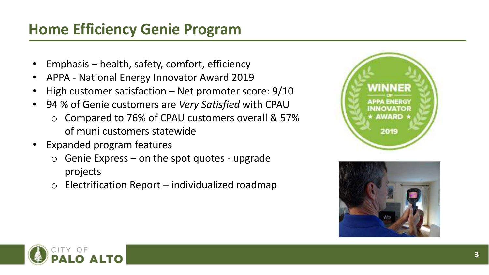## **Home Efficiency Genie Program**

- Emphasis health, safety, comfort, efficiency
- APPA National Energy Innovator Award 2019
- High customer satisfaction Net promoter score:  $9/10$
- 94 % of Genie customers are *Very Satisfied* with CPAU
	- o Compared to 76% of CPAU customers overall & 57% of muni customers statewide
- Expanded program features
	- $\circ$  Genie Express on the spot quotes upgrade projects
	- $\circ$  Electrification Report individualized roadmap





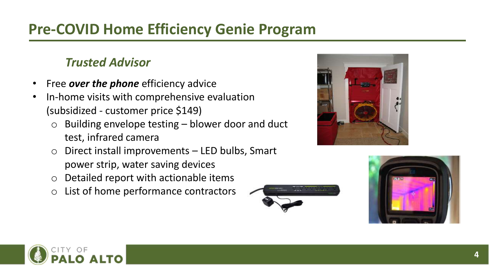## **Pre-COVID Home Efficiency Genie Program**

#### *Trusted Advisor*

- Free *over the phone* efficiency advice
- In-home visits with comprehensive evaluation (subsidized - customer price \$149)
	- $\circ$  Building envelope testing blower door and duct test, infrared camera
	- $\circ$  Direct install improvements LED bulbs, Smart power strip, water saving devices
	- o Detailed report with actionable items
	- o List of home performance contractors





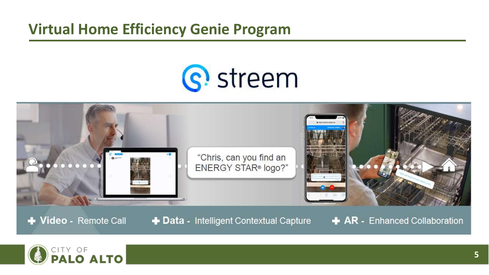#### **Virtual Home Efficiency Genie Program**

# S! streem



+ Video - Remote Call

+ Data - Intelligent Contextual Capture

**AR** - Enhanced Collaboration

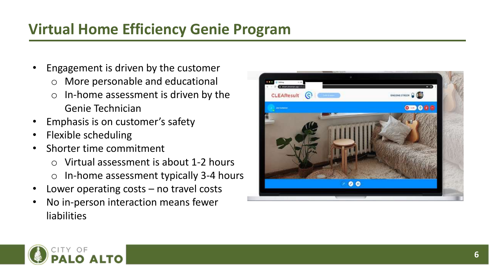## **Virtual Home Efficiency Genie Program**

- Engagement is driven by the customer o More personable and educational
	- $\circ$  In-home assessment is driven by the Genie Technician
- Emphasis is on customer's safety
- Flexible scheduling
- Shorter time commitment
	- o Virtual assessment is about 1-2 hours
	- o In-home assessment typically 3-4 hours
- Lower operating costs  $-$  no travel costs
- No in-person interaction means fewer liabilities



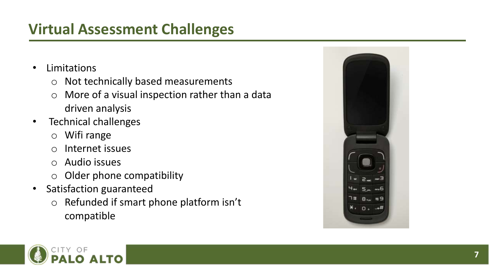## **Virtual Assessment Challenges**

- Limitations
	- o Not technically based measurements
	- $\circ$  More of a visual inspection rather than a data driven analysis
- Technical challenges
	- o Wifi range
	- o Internet issues
	- o Audio issues
	- $\circ$  Older phone compatibility
- Satisfaction guaranteed
	- o Refunded if smart phone platform isn't compatible



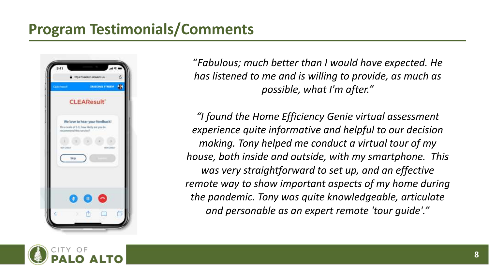#### **Program Testimonials/Comments**



"*Fabulous; much better than I would have expected. He has listened to me and is willing to provide, as much as possible, what I'm after."*

*"I found the Home Efficiency Genie virtual assessment experience quite informative and helpful to our decision making. Tony helped me conduct a virtual tour of my house, both inside and outside, with my smartphone. This was very straightforward to set up, and an effective remote way to show important aspects of my home during the pandemic. Tony was quite knowledgeable, articulate and personable as an expert remote 'tour guide'."*

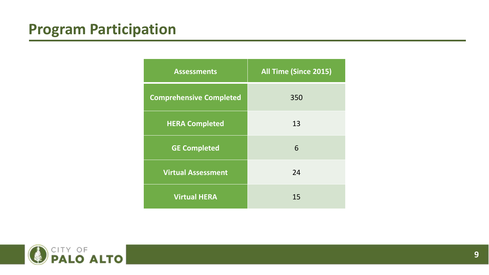| <b>Assessments</b>             | All Time (Since 2015) |
|--------------------------------|-----------------------|
| <b>Comprehensive Completed</b> | 350                   |
| <b>HERA Completed</b>          | 13                    |
| <b>GE Completed</b>            | 6                     |
| <b>Virtual Assessment</b>      | 24                    |
| <b>Virtual HERA</b>            | 15                    |